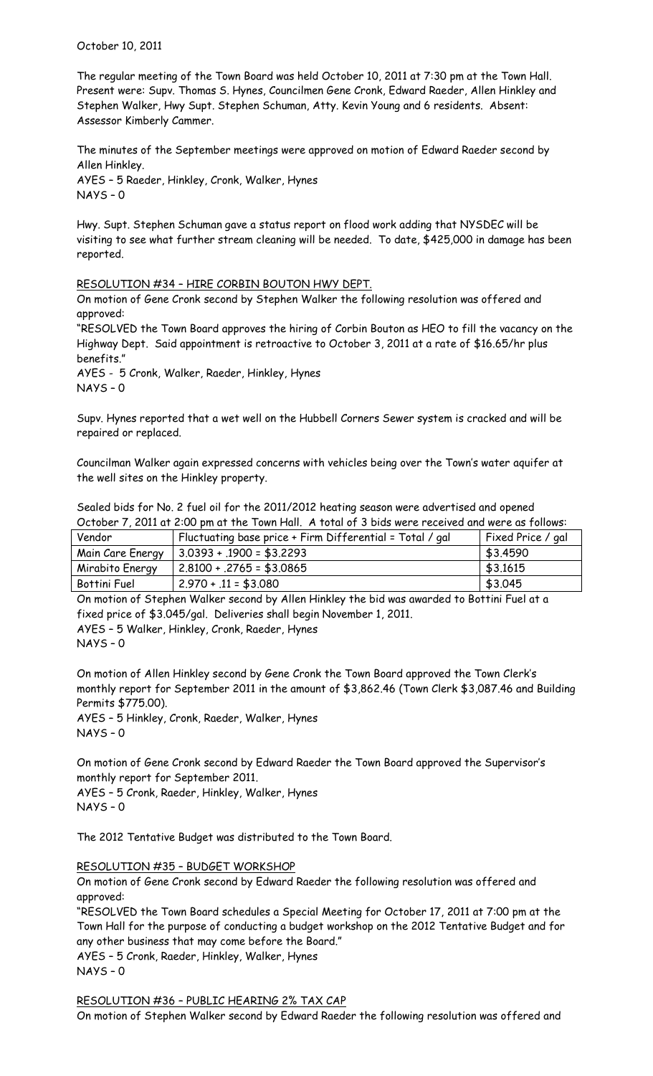October 10, 2011

The regular meeting of the Town Board was held October 10, 2011 at 7:30 pm at the Town Hall. Present were: Supv. Thomas S. Hynes, Councilmen Gene Cronk, Edward Raeder, Allen Hinkley and Stephen Walker, Hwy Supt. Stephen Schuman, Atty. Kevin Young and 6 residents. Absent: Assessor Kimberly Cammer.

The minutes of the September meetings were approved on motion of Edward Raeder second by Allen Hinkley. AYES – 5 Raeder, Hinkley, Cronk, Walker, Hynes NAYS – 0

Hwy. Supt. Stephen Schuman gave a status report on flood work adding that NYSDEC will be visiting to see what further stream cleaning will be needed. To date, \$425,000 in damage has been reported.

# RESOLUTION #34 – HIRE CORBIN BOUTON HWY DEPT.

On motion of Gene Cronk second by Stephen Walker the following resolution was offered and approved:

"RESOLVED the Town Board approves the hiring of Corbin Bouton as HEO to fill the vacancy on the Highway Dept. Said appointment is retroactive to October 3, 2011 at a rate of \$16.65/hr plus benefits."

AYES - 5 Cronk, Walker, Raeder, Hinkley, Hynes NAYS – 0

Supv. Hynes reported that a wet well on the Hubbell Corners Sewer system is cracked and will be repaired or replaced.

Councilman Walker again expressed concerns with vehicles being over the Town's water aquifer at the well sites on the Hinkley property.

| المتملة عنمالا | $\Box$ Clustusting began points. Cing Niffersontial $\Box$ Tatal $\Box$ and                       | $\Gamma$ Circle Defeated and $\Gamma$ |
|----------------|---------------------------------------------------------------------------------------------------|---------------------------------------|
|                | October 7, 2011 at 2:00 pm at the Town Hall. A total of 3 bids were received and were as follows: |                                       |
|                | Sealed bids for No. 2 fuel oil for the 2011/2012 heating season were advertised and opened        |                                       |

| Vendor          | Fluctuating base price + Firm Differential = Total / gal | Fixed Price / gal |
|-----------------|----------------------------------------------------------|-------------------|
|                 | Main Care Energy   $3.0393 + .1900 = $3.2293$            | \$3.4590          |
| Mirabito Energy | $2.8100 + .2765 = $3.0865$                               | \$3,1615          |
| Bottini Fuel    | $2.970 + .11 = $3.080$                                   | \$3.045           |

On motion of Stephen Walker second by Allen Hinkley the bid was awarded to Bottini Fuel at a fixed price of \$3.045/gal. Deliveries shall begin November 1, 2011.

AYES – 5 Walker, Hinkley, Cronk, Raeder, Hynes NAYS – 0

On motion of Allen Hinkley second by Gene Cronk the Town Board approved the Town Clerk's monthly report for September 2011 in the amount of \$3,862.46 (Town Clerk \$3,087.46 and Building Permits \$775.00).

AYES – 5 Hinkley, Cronk, Raeder, Walker, Hynes NAYS – 0

On motion of Gene Cronk second by Edward Raeder the Town Board approved the Supervisor's monthly report for September 2011.

AYES – 5 Cronk, Raeder, Hinkley, Walker, Hynes NAYS – 0

The 2012 Tentative Budget was distributed to the Town Board.

# RESOLUTION #35 – BUDGET WORKSHOP

On motion of Gene Cronk second by Edward Raeder the following resolution was offered and approved:

"RESOLVED the Town Board schedules a Special Meeting for October 17, 2011 at 7:00 pm at the Town Hall for the purpose of conducting a budget workshop on the 2012 Tentative Budget and for any other business that may come before the Board." AYES – 5 Cronk, Raeder, Hinkley, Walker, Hynes NAYS – 0

RESOLUTION #36 – PUBLIC HEARING 2% TAX CAP

On motion of Stephen Walker second by Edward Raeder the following resolution was offered and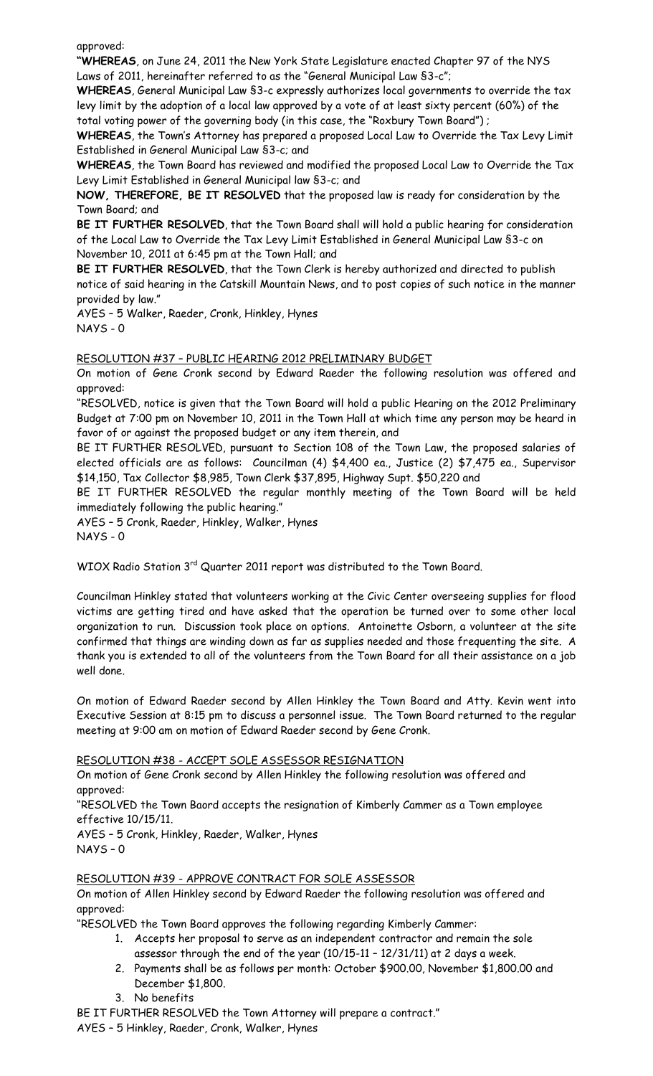approved:

**"WHEREAS**, on June 24, 2011 the New York State Legislature enacted Chapter 97 of the NYS Laws of 2011, hereinafter referred to as the "General Municipal Law §3-c";

**WHEREAS**, General Municipal Law §3-c expressly authorizes local governments to override the tax levy limit by the adoption of a local law approved by a vote of at least sixty percent (60%) of the total voting power of the governing body (in this case, the "Roxbury Town Board") ;

**WHEREAS**, the Town's Attorney has prepared a proposed Local Law to Override the Tax Levy Limit Established in General Municipal Law §3-c; and

**WHEREAS**, the Town Board has reviewed and modified the proposed Local Law to Override the Tax Levy Limit Established in General Municipal law §3-c; and

**NOW, THEREFORE, BE IT RESOLVED** that the proposed law is ready for consideration by the Town Board; and

**BE IT FURTHER RESOLVED**, that the Town Board shall will hold a public hearing for consideration of the Local Law to Override the Tax Levy Limit Established in General Municipal Law §3-c on November 10, 2011 at 6:45 pm at the Town Hall; and

**BE IT FURTHER RESOLVED**, that the Town Clerk is hereby authorized and directed to publish notice of said hearing in the Catskill Mountain News, and to post copies of such notice in the manner provided by law."

AYES – 5 Walker, Raeder, Cronk, Hinkley, Hynes NAYS - 0

# RESOLUTION #37 – PUBLIC HEARING 2012 PRELIMINARY BUDGET

On motion of Gene Cronk second by Edward Raeder the following resolution was offered and approved:

"RESOLVED, notice is given that the Town Board will hold a public Hearing on the 2012 Preliminary Budget at 7:00 pm on November 10, 2011 in the Town Hall at which time any person may be heard in favor of or against the proposed budget or any item therein, and

BE IT FURTHER RESOLVED, pursuant to Section 108 of the Town Law, the proposed salaries of elected officials are as follows: Councilman (4) \$4,400 ea., Justice (2) \$7,475 ea., Supervisor \$14,150, Tax Collector \$8,985, Town Clerk \$37,895, Highway Supt. \$50,220 and

BE IT FURTHER RESOLVED the regular monthly meeting of the Town Board will be held immediately following the public hearing."

AYES – 5 Cronk, Raeder, Hinkley, Walker, Hynes NAYS - 0

WIOX Radio Station 3<sup>rd</sup> Quarter 2011 report was distributed to the Town Board.

Councilman Hinkley stated that volunteers working at the Civic Center overseeing supplies for flood victims are getting tired and have asked that the operation be turned over to some other local organization to run. Discussion took place on options. Antoinette Osborn, a volunteer at the site confirmed that things are winding down as far as supplies needed and those frequenting the site. A thank you is extended to all of the volunteers from the Town Board for all their assistance on a job well done.

On motion of Edward Raeder second by Allen Hinkley the Town Board and Atty. Kevin went into Executive Session at 8:15 pm to discuss a personnel issue. The Town Board returned to the regular meeting at 9:00 am on motion of Edward Raeder second by Gene Cronk.

# RESOLUTION #38 - ACCEPT SOLE ASSESSOR RESIGNATION

On motion of Gene Cronk second by Allen Hinkley the following resolution was offered and approved:

"RESOLVED the Town Baord accepts the resignation of Kimberly Cammer as a Town employee effective 10/15/11.

AYES – 5 Cronk, Hinkley, Raeder, Walker, Hynes NAYS – 0

RESOLUTION #39 - APPROVE CONTRACT FOR SOLE ASSESSOR

On motion of Allen Hinkley second by Edward Raeder the following resolution was offered and approved:

"RESOLVED the Town Board approves the following regarding Kimberly Cammer:

- 1. Accepts her proposal to serve as an independent contractor and remain the sole assessor through the end of the year (10/15-11 – 12/31/11) at 2 days a week.
- 2. Payments shall be as follows per month: October \$900.00, November \$1,800.00 and December \$1,800.
- 3. No benefits

BE IT FURTHER RESOLVED the Town Attorney will prepare a contract."

AYES – 5 Hinkley, Raeder, Cronk, Walker, Hynes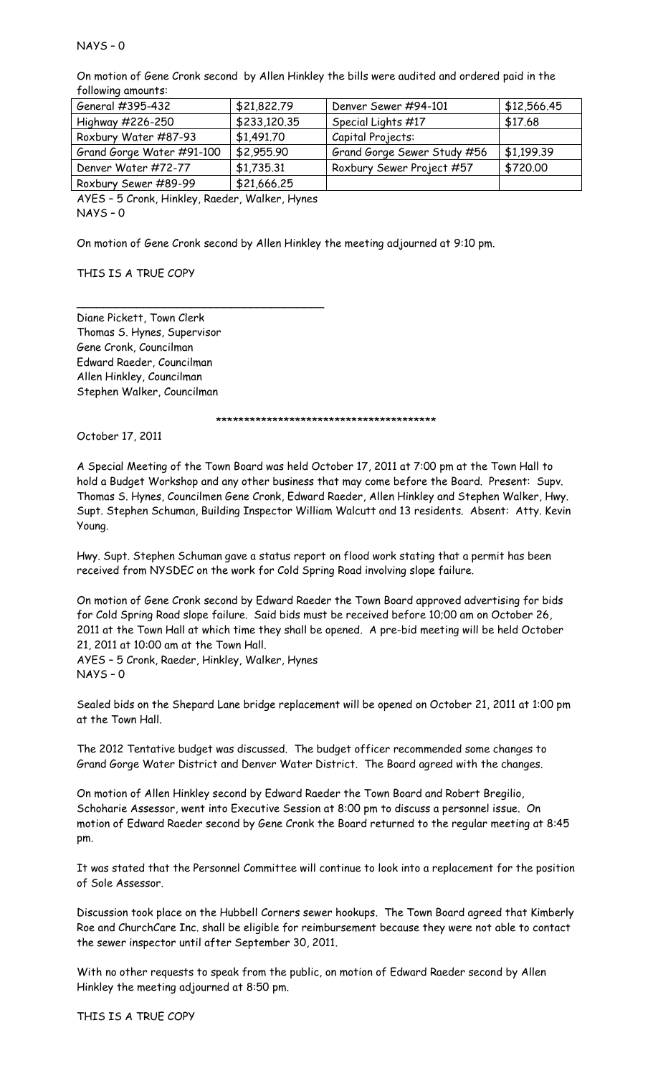# NAYS – 0

On motion of Gene Cronk second by Allen Hinkley the bills were audited and ordered paid in the following amounts:

| General #395-432          | \$21,822.79  | Denver Sewer #94-101        | \$12,566.45 |
|---------------------------|--------------|-----------------------------|-------------|
| Highway #226-250          | \$233,120.35 | Special Lights #17          | \$17.68     |
| Roxbury Water #87-93      | \$1,491.70   | Capital Projects:           |             |
| Grand Gorge Water #91-100 | \$2,955.90   | Grand Gorge Sewer Study #56 | \$1,199.39  |
| Denver Water #72-77       | \$1,735.31   | Roxbury Sewer Project #57   | \$720.00    |
| Roxbury Sewer #89-99      | \$21,666.25  |                             |             |

AYES – 5 Cronk, Hinkley, Raeder, Walker, Hynes NAYS – 0

\_\_\_\_\_\_\_\_\_\_\_\_\_\_\_\_\_\_\_\_\_\_\_\_\_\_\_\_\_\_\_\_\_\_\_\_\_

On motion of Gene Cronk second by Allen Hinkley the meeting adjourned at 9:10 pm.

THIS IS A TRUE COPY

Diane Pickett, Town Clerk Thomas S. Hynes, Supervisor Gene Cronk, Councilman Edward Raeder, Councilman Allen Hinkley, Councilman Stephen Walker, Councilman

\*\*\*\*\*\*\*\*\*\*\*\*\*\*\*\*\*\*\*\*\*\*\*\*\*\*\*\*\*\*\*\*\*\*\*\*\*\*\*

October 17, 2011

A Special Meeting of the Town Board was held October 17, 2011 at 7:00 pm at the Town Hall to hold a Budget Workshop and any other business that may come before the Board. Present: Supv. Thomas S. Hynes, Councilmen Gene Cronk, Edward Raeder, Allen Hinkley and Stephen Walker, Hwy. Supt. Stephen Schuman, Building Inspector William Walcutt and 13 residents. Absent: Atty. Kevin Young.

Hwy. Supt. Stephen Schuman gave a status report on flood work stating that a permit has been received from NYSDEC on the work for Cold Spring Road involving slope failure.

On motion of Gene Cronk second by Edward Raeder the Town Board approved advertising for bids for Cold Spring Road slope failure. Said bids must be received before 10;00 am on October 26, 2011 at the Town Hall at which time they shall be opened. A pre-bid meeting will be held October 21, 2011 at 10:00 am at the Town Hall.

AYES – 5 Cronk, Raeder, Hinkley, Walker, Hynes NAYS – 0

Sealed bids on the Shepard Lane bridge replacement will be opened on October 21, 2011 at 1:00 pm at the Town Hall.

The 2012 Tentative budget was discussed. The budget officer recommended some changes to Grand Gorge Water District and Denver Water District. The Board agreed with the changes.

On motion of Allen Hinkley second by Edward Raeder the Town Board and Robert Bregilio, Schoharie Assessor, went into Executive Session at 8:00 pm to discuss a personnel issue. On motion of Edward Raeder second by Gene Cronk the Board returned to the regular meeting at 8:45 pm.

It was stated that the Personnel Committee will continue to look into a replacement for the position of Sole Assessor.

Discussion took place on the Hubbell Corners sewer hookups. The Town Board agreed that Kimberly Roe and ChurchCare Inc. shall be eligible for reimbursement because they were not able to contact the sewer inspector until after September 30, 2011.

With no other requests to speak from the public, on motion of Edward Raeder second by Allen Hinkley the meeting adjourned at 8:50 pm.